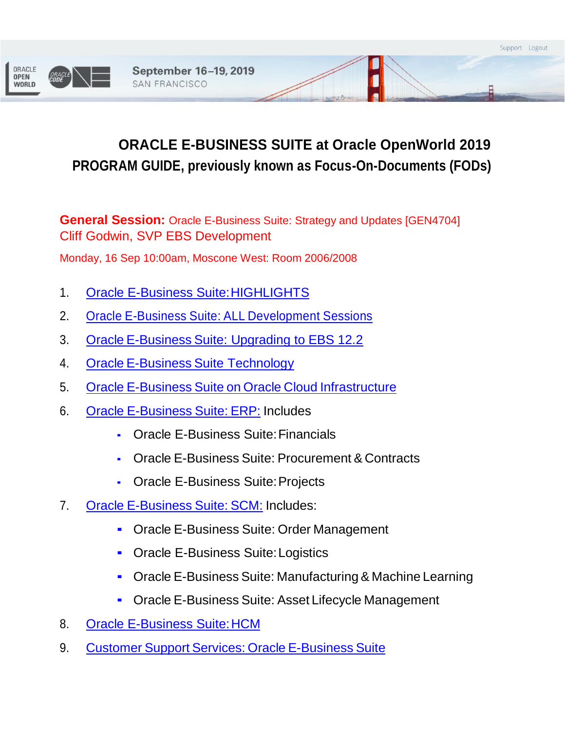

# **ORACLE E-BUSINESS SUITE at Oracle OpenWorld 2019 PROGRAM GUIDE, previously known as Focus-On-Documents (FODs)**

**General Session:** Oracle E-Business Suite: Strategy and Updates [GEN4704] Cliff Godwin, SVP EBS Development

Monday, 16 Sep 10:00am, Moscone West: Room 2006/2008

- 1. Oracle E-Business Suite: HIGHLIGHTS
- 2. Oracle E-Business Suite: ALL [Development](https://events.rainfocus.com/widget/oracle/oow19/1561478170528001BUSQ) Sessions
- 3. Oracle E-Business [Suite: Upgrading to EBS 12.2](https://events.rainfocus.com/widget/oracle/oow19/1565822938646001CLr9)
- 4. Oracle E-Business Suite [Technology](https://events.rainfocus.com/widget/oracle/oow19/1561543527914001tpLf)
- 5. Oracle E-Business Suite on Oracle Cloud [Infrastructure](https://events.rainfocus.com/widget/oracle/oow19/1561568651247001MJ5h)
- 6. Oracle [E-Business](https://events.rainfocus.com/widget/oracle/oow19/1561543557489001D6EZ) Suite: ERP: Includes
	- Oracle E-Business Suite:Financials
	- Oracle E-Business Suite: Procurement & Contracts
	- Oracle E-Business Suite:Projects
- 7. Oracle [E-Business](https://events.rainfocus.com/widget/oracle/oow19/1561544517025001t2td) Suite: SCM: Includes:
	- **Oracle E-Business Suite: Order Management**
	- **Oracle E-Business Suite: Logistics**
	- Oracle E-Business Suite: Manufacturing& Machine Learning
	- Oracle E-Business Suite: Asset Lifecycle Management
- 8. [Oracle E-Business Suite:HCM](https://events.rainfocus.com/widget/oracle/oow19/1561544797111001MtE0)
- 9. Customer Support Services: Oracle [E-Business](https://events.rainfocus.com/widget/oracle/oow19/15633037135570010Zx9) Suite